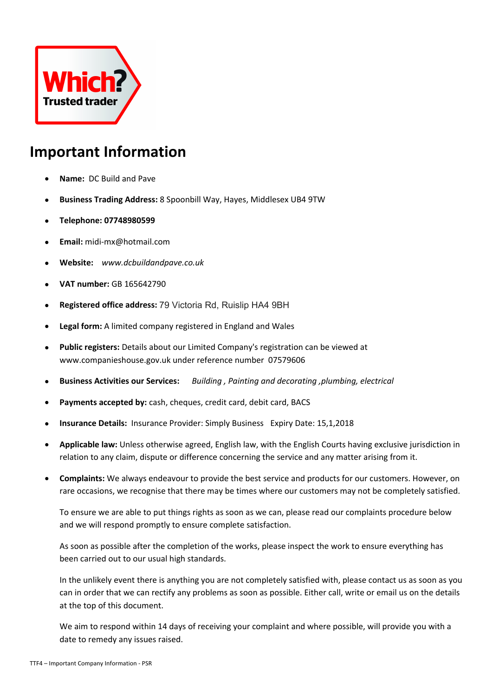

## **Important Information**

- **Name:** DC Build and Pave
- **Business Trading Address:** 8 Spoonbill Way, Hayes, Middlesex UB4 9TW
- **Telephone: 07748980599**
- **Email:** midi-mx@hotmail.com
- **Website:** *www.dcbuildandpave.co.uk*
- **VAT number:** GB 165642790
- **Registered office address:** 79 Victoria Rd, Ruislip HA4 9BH
- **Legal form:** A limited company registered in England and Wales
- **Public registers:** Details about our Limited Company's registration can be viewed at www.companieshouse.gov.uk under reference number 07579606
- **Business Activities our Services:** *Building , Painting and decorating ,plumbing, electrical*
- Payments accepted by: cash, cheques, credit card, debit card, BACS
- **Insurance Details:** Insurance Provider: Simply Business Expiry Date: 15,1,2018
- **Applicable law:** Unless otherwise agreed, English law, with the English Courts having exclusive jurisdiction in relation to any claim, dispute or difference concerning the service and any matter arising from it.
- **Complaints:** We always endeavour to provide the best service and products for our customers. However, on rare occasions, we recognise that there may be times where our customers may not be completely satisfied.

To ensure we are able to put things rights as soon as we can, please read our complaints procedure below and we will respond promptly to ensure complete satisfaction.

As soon as possible after the completion of the works, please inspect the work to ensure everything has been carried out to our usual high standards.

In the unlikely event there is anything you are not completely satisfied with, please contact us as soon as you can in order that we can rectify any problems as soon as possible. Either call, write or email us on the details at the top of this document.

We aim to respond within 14 days of receiving your complaint and where possible, will provide you with a date to remedy any issues raised.